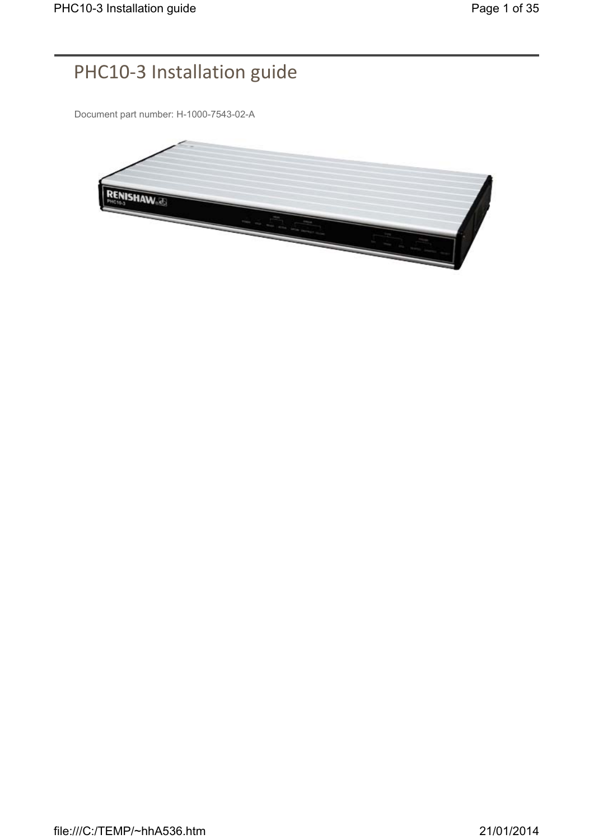## PHC10-3 Installation guide

Document part number: H-1000-7543-02-A

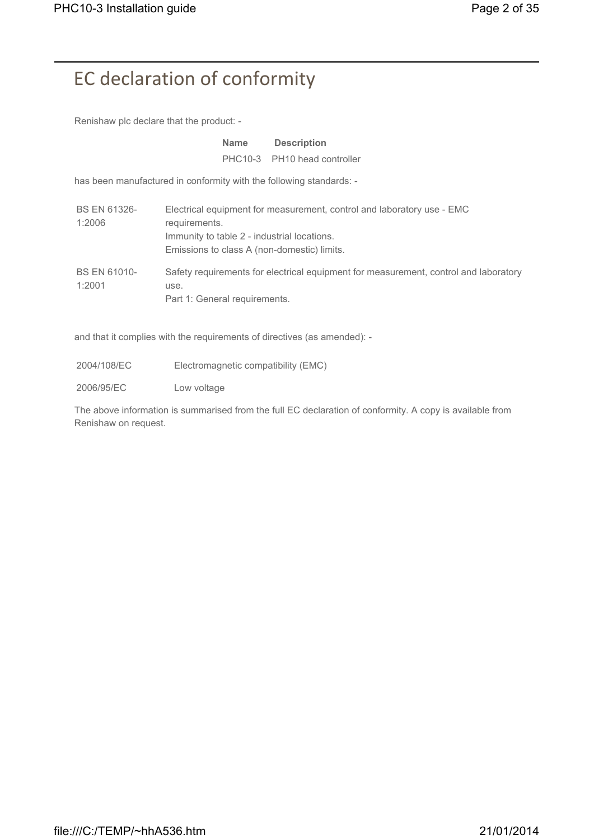# EC declaration of conformity

Renishaw plc declare that the product: -

|                               | <b>Name</b>                                                                                                 | <b>Description</b>                                                                   |
|-------------------------------|-------------------------------------------------------------------------------------------------------------|--------------------------------------------------------------------------------------|
|                               |                                                                                                             | PHC10-3 PH10 head controller                                                         |
|                               | has been manufactured in conformity with the following standards: -                                         |                                                                                      |
| <b>BS EN 61326-</b><br>1:2006 | requirements.<br>Immunity to table 2 - industrial locations.<br>Emissions to class A (non-domestic) limits. | Electrical equipment for measurement, control and laboratory use - EMC               |
| <b>BS EN 61010-</b><br>1:2001 | use.<br>Part 1: General requirements.                                                                       | Safety requirements for electrical equipment for measurement, control and laboratory |

and that it complies with the requirements of directives (as amended): -

2004/108/EC Electromagnetic compatibility (EMC)

2006/95/EC Low voltage

The above information is summarised from the full EC declaration of conformity. A copy is available from Renishaw on request.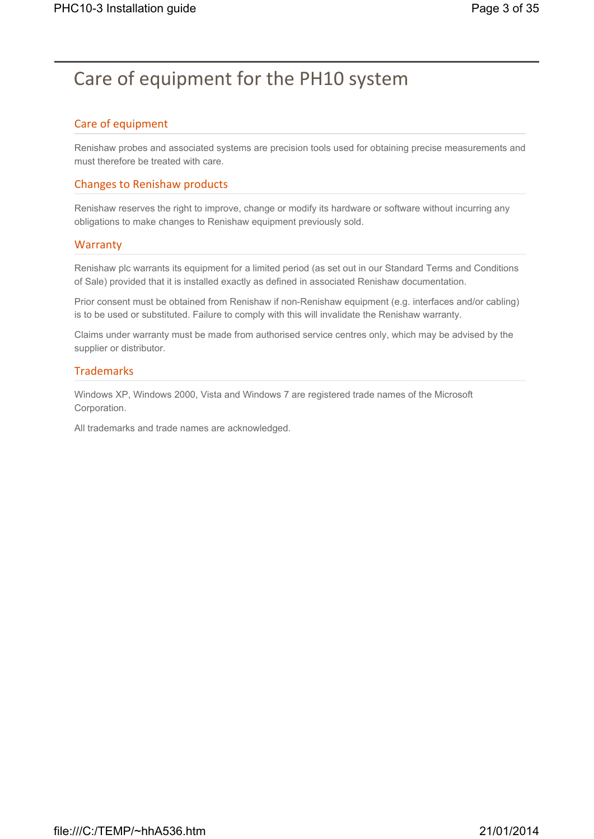## Care of equipment for the PH10 system

### Care of equipment

Renishaw probes and associated systems are precision tools used for obtaining precise measurements and must therefore be treated with care.

### Changes to Renishaw products

Renishaw reserves the right to improve, change or modify its hardware or software without incurring any obligations to make changes to Renishaw equipment previously sold.

#### **Warranty**

Renishaw plc warrants its equipment for a limited period (as set out in our Standard Terms and Conditions of Sale) provided that it is installed exactly as defined in associated Renishaw documentation.

Prior consent must be obtained from Renishaw if non-Renishaw equipment (e.g. interfaces and/or cabling) is to be used or substituted. Failure to comply with this will invalidate the Renishaw warranty.

Claims under warranty must be made from authorised service centres only, which may be advised by the supplier or distributor.

#### **Trademarks**

Windows XP, Windows 2000, Vista and Windows 7 are registered trade names of the Microsoft Corporation.

All trademarks and trade names are acknowledged.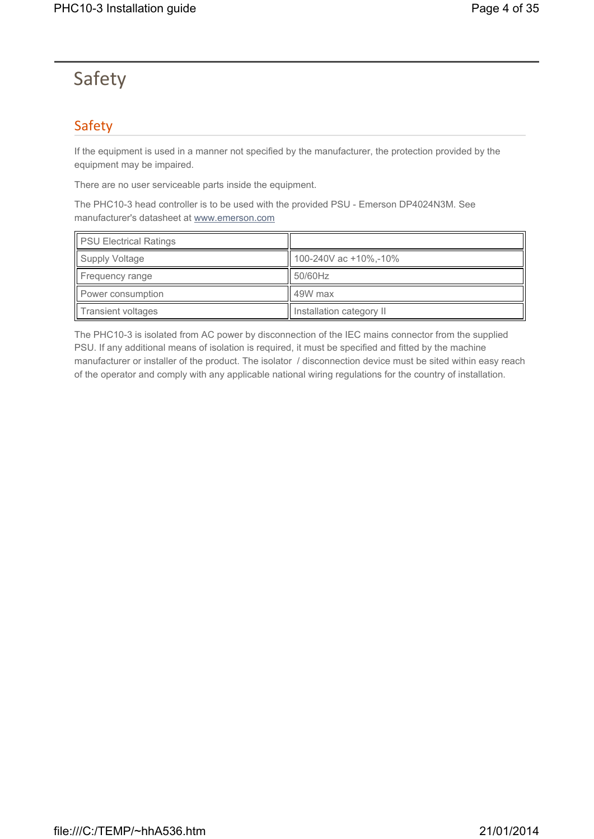## Safety

## Safety

If the equipment is used in a manner not specified by the manufacturer, the protection provided by the equipment may be impaired.

There are no user serviceable parts inside the equipment.

The PHC10-3 head controller is to be used with the provided PSU - Emerson DP4024N3M. See manufacturer's datasheet at www.emerson.com

| <b>PSU Electrical Ratings</b> |                          |
|-------------------------------|--------------------------|
| Supply Voltage                | 100-240V ac +10%,-10%    |
| Frequency range               | 50/60Hz                  |
| Power consumption             | 49W max                  |
| Transient voltages            | Installation category II |

The PHC10-3 is isolated from AC power by disconnection of the IEC mains connector from the supplied PSU. If any additional means of isolation is required, it must be specified and fitted by the machine manufacturer or installer of the product. The isolator / disconnection device must be sited within easy reach of the operator and comply with any applicable national wiring regulations for the country of installation.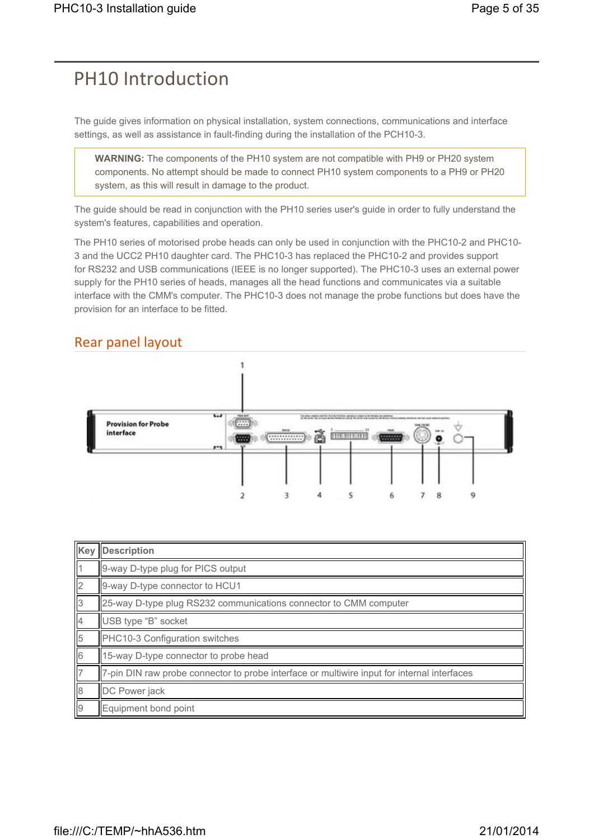## PH10 Introduction

The guide gives information on physical installation, system connections, communications and interface settings, as well as assistance in fault-finding during the installation of the PCH10-3.

**WARNING:** The components of the PH10 system are not compatible with PH9 or PH20 system components. No attempt should be made to connect PH10 system components to a PH9 or PH20 system, as this will result in damage to the product.

The guide should be read in conjunction with the PH10 series user's guide in order to fully understand the system's features, capabilities and operation.

The PH10 series of motorised probe heads can only be used in conjunction with the PHC10-2 and PHC10- 3 and the UCC2 PH10 daughter card. The PHC10-3 has replaced the PHC10-2 and provides support for RS232 and USB communications (IEEE is no longer supported). The PHC10-3 uses an external power supply for the PH10 series of heads, manages all the head functions and communicates via a suitable interface with the CMM's computer. The PHC10-3 does not manage the probe functions but does have the provision for an interface to be fitted.

## Rear panel layout



|                | Key Description                                                                             |
|----------------|---------------------------------------------------------------------------------------------|
|                | 9-way D-type plug for PICS output                                                           |
| $\overline{2}$ | 9-way D-type connector to HCU1                                                              |
| 13             | 25-way D-type plug RS232 communications connector to CMM computer                           |
| l4             | USB type "B" socket                                                                         |
| $\sqrt{5}$     | PHC10-3 Configuration switches                                                              |
| 6              | 15-way D-type connector to probe head                                                       |
|                | 7-pin DIN raw probe connector to probe interface or multiwire input for internal interfaces |
| 8              | DC Power jack                                                                               |
| $\overline{9}$ | Equipment bond point                                                                        |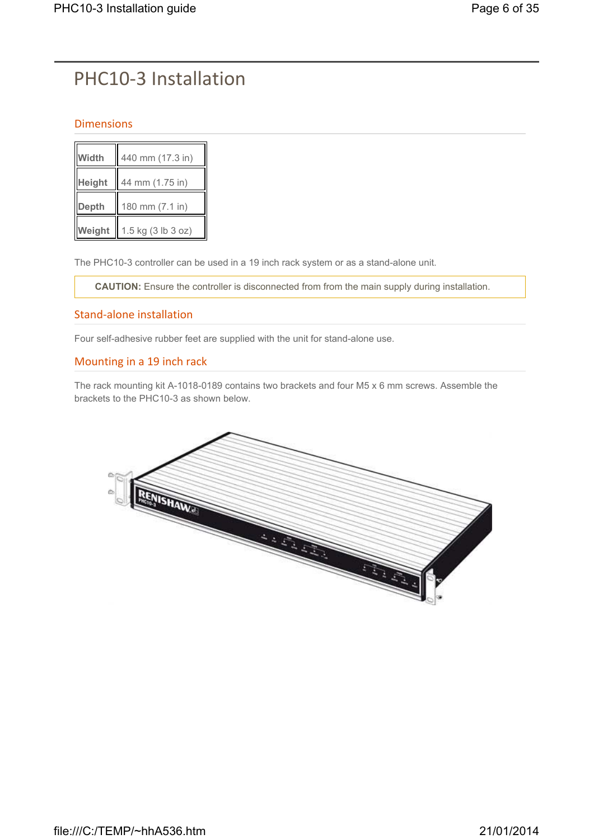# PHC10-3 Installation

### Dimensions

| Width         | 440 mm (17.3 in)   |
|---------------|--------------------|
| <b>Height</b> | 44 mm (1.75 in)    |
| Depth         | 180 mm (7.1 in)    |
| Weight        | 1.5 kg (3 lb 3 oz) |

The PHC10-3 controller can be used in a 19 inch rack system or as a stand-alone unit.

**CAUTION:** Ensure the controller is disconnected from from the main supply during installation.

### Stand-alone installation

Four self-adhesive rubber feet are supplied with the unit for stand-alone use.

### Mounting in a 19 inch rack

The rack mounting kit A-1018-0189 contains two brackets and four M5 x 6 mm screws. Assemble the brackets to the PHC10-3 as shown below.

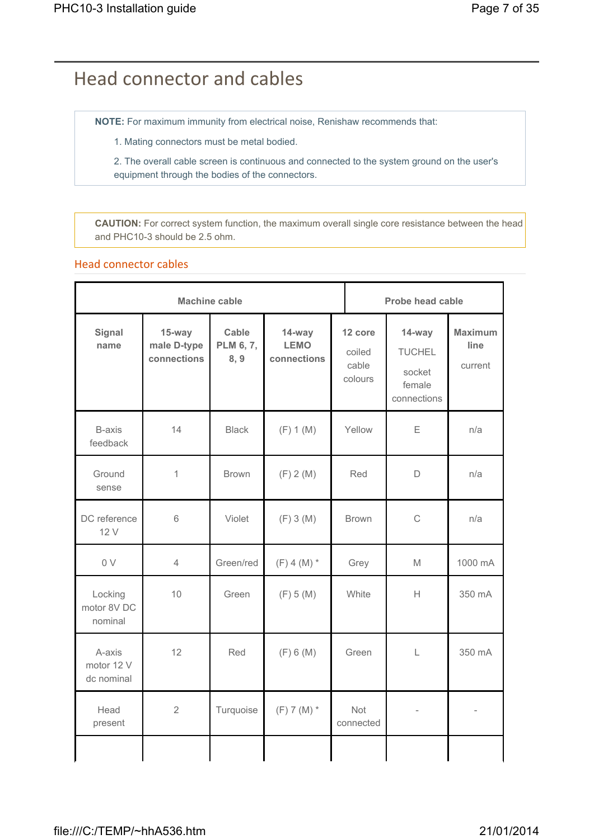## Head connector and cables

**NOTE:** For maximum immunity from electrical noise, Renishaw recommends that:

1. Mating connectors must be metal bodied.

2. The overall cable screen is continuous and connected to the system ground on the user's equipment through the bodies of the connectors.

**CAUTION:** For correct system function, the maximum overall single core resistance between the head and PHC10-3 should be 2.5 ohm.

### Head connector cables

|                                    | <b>Machine cable</b>                 |                            |                                      |                                       |                                                            | <b>Probe head cable</b>           |  |  |
|------------------------------------|--------------------------------------|----------------------------|--------------------------------------|---------------------------------------|------------------------------------------------------------|-----------------------------------|--|--|
| <b>Signal</b><br>name              | 15-way<br>male D-type<br>connections | Cable<br>PLM 6, 7,<br>8, 9 | 14-way<br><b>LEMO</b><br>connections | 12 core<br>coiled<br>cable<br>colours | 14-way<br><b>TUCHEL</b><br>socket<br>female<br>connections | <b>Maximum</b><br>line<br>current |  |  |
| <b>B-axis</b><br>feedback          | 14                                   | <b>Black</b>               | (F) 1 (M)                            | Yellow                                | E                                                          | n/a                               |  |  |
| Ground<br>sense                    | 1                                    | <b>Brown</b>               | (F) 2(M)                             | Red                                   | D                                                          | n/a                               |  |  |
| DC reference<br>12 V               | 6                                    | Violet                     | (F) 3(M)                             | <b>Brown</b>                          | C                                                          | n/a                               |  |  |
| 0 V                                | $\overline{4}$                       | Green/red                  | $(F) 4 (M)$ *                        | Grey                                  | M                                                          | 1000 mA                           |  |  |
| Locking<br>motor 8V DC<br>nominal  | 10                                   | Green                      | (F) 5(M)                             | White                                 | H                                                          | 350 mA                            |  |  |
| A-axis<br>motor 12 V<br>dc nominal | 12                                   | Red                        | (F) 6(M)                             | Green                                 | L                                                          | 350 mA                            |  |  |
| Head<br>present                    | $\overline{2}$                       | Turquoise                  | $(F) 7 (M)$ *                        | <b>Not</b><br>connected               |                                                            |                                   |  |  |
|                                    |                                      |                            |                                      |                                       |                                                            |                                   |  |  |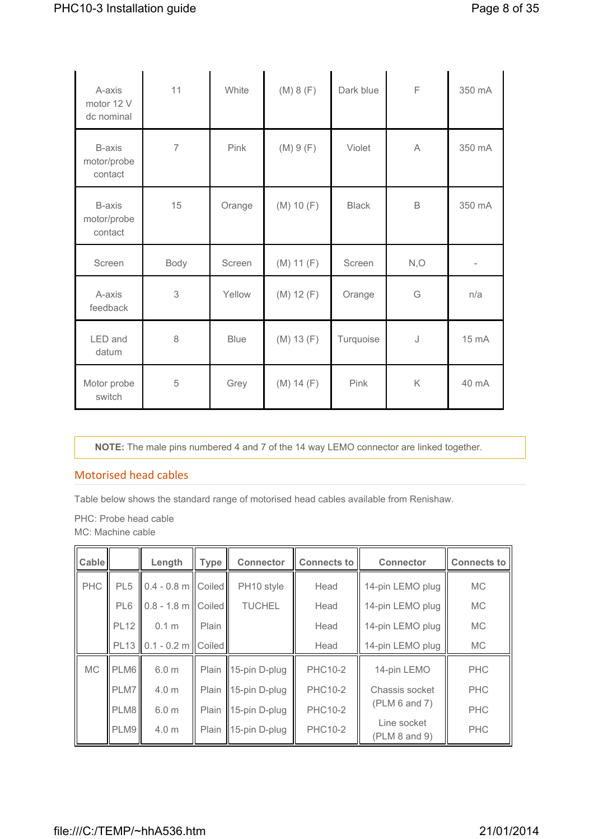| A-axis<br>motor 12 V<br>dc nominal | 11             | White       | (M) 8 (F)  | Dark blue    | F           | 350 mA    |
|------------------------------------|----------------|-------------|------------|--------------|-------------|-----------|
| B-axis<br>motor/probe<br>contact   | $\overline{7}$ | Pink        | (M) 9(F)   | Violet       | A           | 350 mA    |
| B-axis<br>motor/probe<br>contact   | 15             | Orange      | (M) 10 (F) | <b>Black</b> | $\mathsf B$ | 350 mA    |
| Screen                             | Body           | Screen      | (M) 11 (F) | Screen       | N, O        | $\bar{ }$ |
| A-axis<br>feedback                 | 3              | Yellow      | (M) 12 (F) | Orange       | G           | n/a       |
| LED and<br>datum                   | 8              | <b>Blue</b> | (M) 13 (F) | Turquoise    | J           | 15 mA     |
| Motor probe<br>switch              | 5              | Grey        | (M) 14 (F) | Pink         | K           | 40 mA     |

**NOTE:** The male pins numbered 4 and 7 of the 14 way LEMO connector are linked together.

#### Motorised head cables

Table below shows the standard range of motorised head cables available from Renishaw.

PHC: Probe head cable MC: Machine cable

| <b>Cable</b> |                 | Length               | <b>Type</b> | <b>Connector</b>      | <b>Connects to</b> | <b>Connector</b>             | <b>Connects to</b> |
|--------------|-----------------|----------------------|-------------|-----------------------|--------------------|------------------------------|--------------------|
| <b>PHC</b>   | PL <sub>5</sub> | $0.4 - 0.8$ m Coiled |             | PH10 style            | Head               | 14-pin LEMO plug             | <b>MC</b>          |
|              | PL6             | $0.8 - 1.8$ m Coiled |             | <b>TUCHEL</b>         | Head               | 14-pin LEMO plug             | <b>MC</b>          |
|              | <b>PL12</b>     | 0.1 <sub>m</sub>     | Plain       |                       | Head               | 14-pin LEMO plug             | <b>MC</b>          |
|              | <b>PL13</b>     | $0.1 - 0.2$ m Coiled |             |                       | Head               | 14-pin LEMO plug             | <b>MC</b>          |
| <b>MC</b>    | PLM6            | 6.0 <sub>m</sub>     | Plain       | $15$ -pin D-plug      | <b>PHC10-2</b>     | 14-pin LEMO                  | <b>PHC</b>         |
|              | PLM7            | 4.0 <sub>m</sub>     | Plain       | $15$ -pin D-plug      | <b>PHC10-2</b>     | Chassis socket               | <b>PHC</b>         |
|              | PLM8            | 6.0 <sub>m</sub>     | Plain       | $15$ -pin D-plug      | <b>PHC10-2</b>     | (PLM 6 and 7)                | <b>PHC</b>         |
|              | PLM9            | 4.0 m                |             | Plain   15-pin D-plug | <b>PHC10-2</b>     | Line socket<br>(PLM 8 and 9) | <b>PHC</b>         |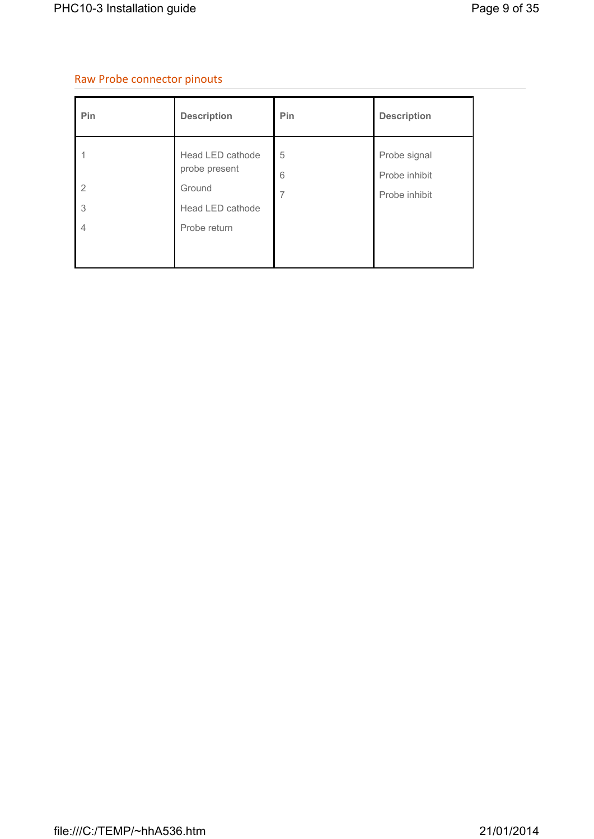### Raw Probe connector pinouts

| Pin                                   | <b>Description</b>                         | Pin            | <b>Description</b>            |
|---------------------------------------|--------------------------------------------|----------------|-------------------------------|
|                                       | Head LED cathode<br>probe present          | 5<br>6         | Probe signal<br>Probe inhibit |
| $\overline{2}$<br>3<br>$\overline{4}$ | Ground<br>Head LED cathode<br>Probe return | $\overline{7}$ | Probe inhibit                 |
|                                       |                                            |                |                               |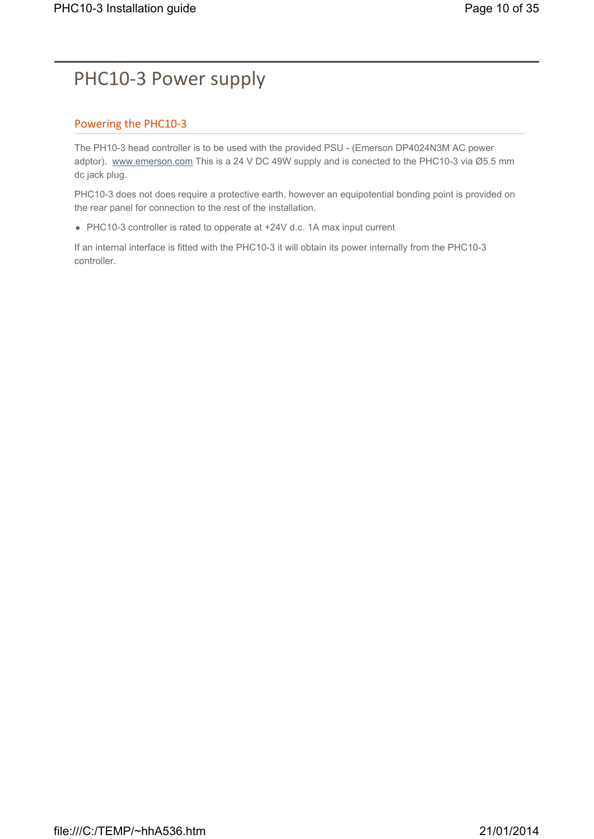## PHC10-3 Power supply

### Powering the PHC10-3

The PH10-3 head controller is to be used with the provided PSU - (Emerson DP4024N3M AC power adptor). www.emerson.com This is a 24 V DC 49W supply and is conected to the PHC10-3 via Ø5.5 mm dc jack plug.

PHC10-3 does not does require a protective earth, however an equipotential bonding point is provided on the rear panel for connection to the rest of the installation.

• PHC10-3 controller is rated to opperate at +24V d.c. 1A max input current

If an internal interface is fitted with the PHC10-3 it will obtain its power internally from the PHC10-3 controller.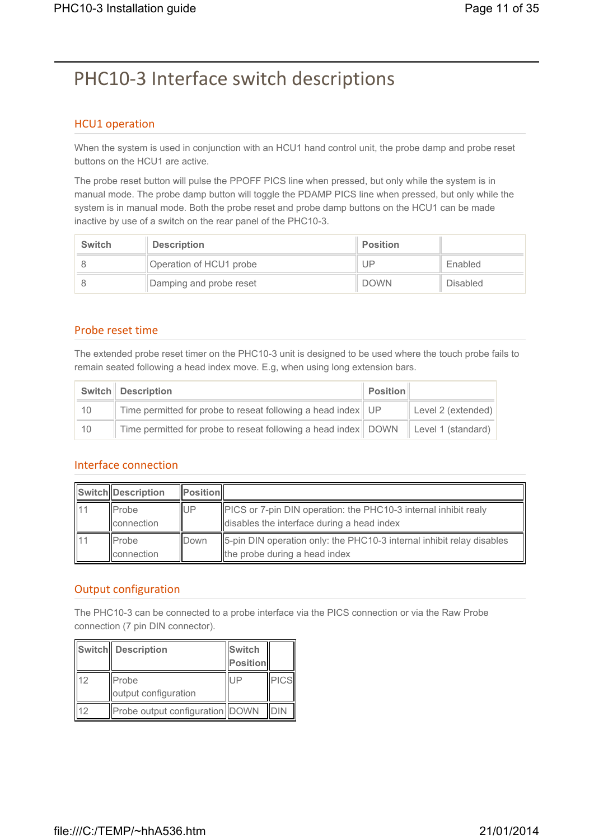# PHC10-3 Interface switch descriptions

### HCU1 operation

When the system is used in conjunction with an HCU1 hand control unit, the probe damp and probe reset buttons on the HCU1 are active.

The probe reset button will pulse the PPOFF PICS line when pressed, but only while the system is in manual mode. The probe damp button will toggle the PDAMP PICS line when pressed, but only while the system is in manual mode. Both the probe reset and probe damp buttons on the HCU1 can be made inactive by use of a switch on the rear panel of the PHC10-3.

| <b>Switch</b> | <b>Description</b>      | <b>Position</b> |                 |
|---------------|-------------------------|-----------------|-----------------|
|               | Operation of HCU1 probe | UP              | Enabled         |
|               | Damping and probe reset | <b>DOWN</b>     | <b>Disabled</b> |

### Probe reset time

The extended probe reset timer on the PHC10-3 unit is designed to be used where the touch probe fails to remain seated following a head index move. E.g, when using long extension bars.

|     | <b>Switch</b> Description                                                                                 | $\parallel$ Position $\parallel$ |                    |
|-----|-----------------------------------------------------------------------------------------------------------|----------------------------------|--------------------|
| 10  | Time permitted for probe to reseat following a head index UP                                              |                                  | Level 2 (extended) |
| -10 | Time permitted for probe to reseat following a head index $\parallel$ DOWN $\parallel$ Level 1 (standard) |                                  |                    |

### Interface connection

|                | Switch Description           | <b>Position</b> |                                                                                                                      |
|----------------|------------------------------|-----------------|----------------------------------------------------------------------------------------------------------------------|
| ll 1 1         | <b>I</b> Probe<br>connection | <b>IUP</b>      | <b>PICS</b> or 7-pin DIN operation: the PHC10-3 internal inhibit realy<br>disables the interface during a head index |
| $\parallel$ 11 | <b>IProbe</b><br>connection  | <b>IDown</b>    | 5-pin DIN operation only: the PHC10-3 internal inhibit relay disables<br>the probe during a head index               |

## Output configuration

The PHC10-3 can be connected to a probe interface via the PICS connection or via the Raw Probe connection (7 pin DIN connector).

|    | Switch Description              | <b>Switch</b><br>Position |            |
|----|---------------------------------|---------------------------|------------|
| 12 | Probe<br>output configuration   | UF                        | PICS       |
| 12 | Probe output configuration DOWN |                           | <b>DIN</b> |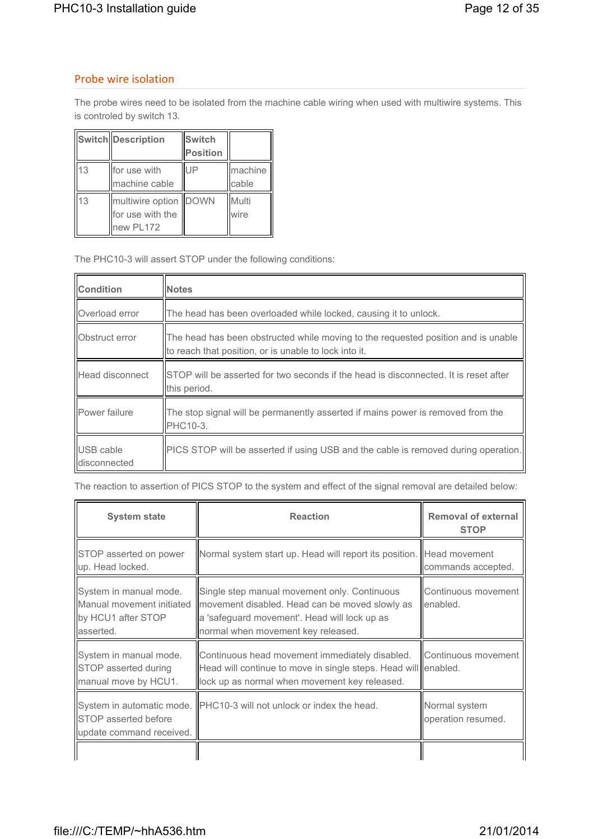#### Probe wire isolation

The probe wires need to be isolated from the machine cable wiring when used with multiwire systems. This is controled by switch 13.

|    | Switch Description                                     | Switch<br>Position |                  |
|----|--------------------------------------------------------|--------------------|------------------|
| 13 | for use with<br>machine cable                          | UP                 | machine<br>cable |
| 13 | multiwire option DOWN<br>for use with the<br>new PL172 |                    | Multi<br>wire    |

The PHC10-3 will assert STOP under the following conditions:

| Condition                 | <b>Notes</b>                                                                                                                               |  |
|---------------------------|--------------------------------------------------------------------------------------------------------------------------------------------|--|
| Overload error            | The head has been overloaded while locked, causing it to unlock.                                                                           |  |
| Obstruct error            | The head has been obstructed while moving to the requested position and is unable<br>to reach that position, or is unable to lock into it. |  |
| Head disconnect           | STOP will be asserted for two seconds if the head is disconnected. It is reset after<br>this period.                                       |  |
| Power failure             | The stop signal will be permanently asserted if mains power is removed from the<br>PHC10-3.                                                |  |
| USB cable<br>disconnected | PICS STOP will be asserted if using USB and the cable is removed during operation.                                                         |  |

The reaction to assertion of PICS STOP to the system and effect of the signal removal are detailed below:

| <b>System state</b>                                                                     | <b>Reaction</b>                                                                                                                                                                      | <b>Removal of external</b><br><b>STOP</b> |
|-----------------------------------------------------------------------------------------|--------------------------------------------------------------------------------------------------------------------------------------------------------------------------------------|-------------------------------------------|
| STOP asserted on power<br>up. Head locked.                                              | Normal system start up. Head will report its position.   Head movement                                                                                                               | commands accepted.                        |
| System in manual mode.<br>Manual movement initiated<br>by HCU1 after STOP<br>lasserted. | Single step manual movement only. Continuous<br>movement disabled. Head can be moved slowly as<br>a 'safeguard movement'. Head will lock up as<br>normal when movement key released. | Continuous movement<br>lenabled.          |
| System in manual mode.<br>STOP asserted during<br>manual move by HCU1.                  | Continuous head movement immediately disabled.<br>Head will continue to move in single steps. Head will enabled.<br>lock up as normal when movement key released.                    | Continuous movement                       |
| <b>STOP</b> asserted before<br>update command received.                                 | System in automatic mode. PHC10-3 will not unlock or index the head.                                                                                                                 | Normal system<br>operation resumed.       |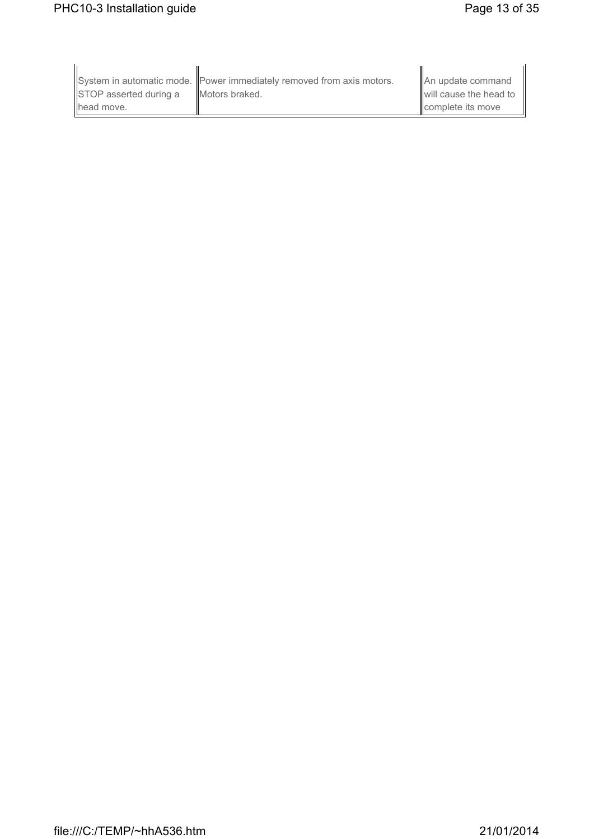| STOP asserted during a | System in automatic mode. Power immediately removed from axis motors.<br><b>IIMotors braked.</b> | An update command<br>will cause the head to |
|------------------------|--------------------------------------------------------------------------------------------------|---------------------------------------------|
| llhead move.           |                                                                                                  | <b>I</b> complete its move                  |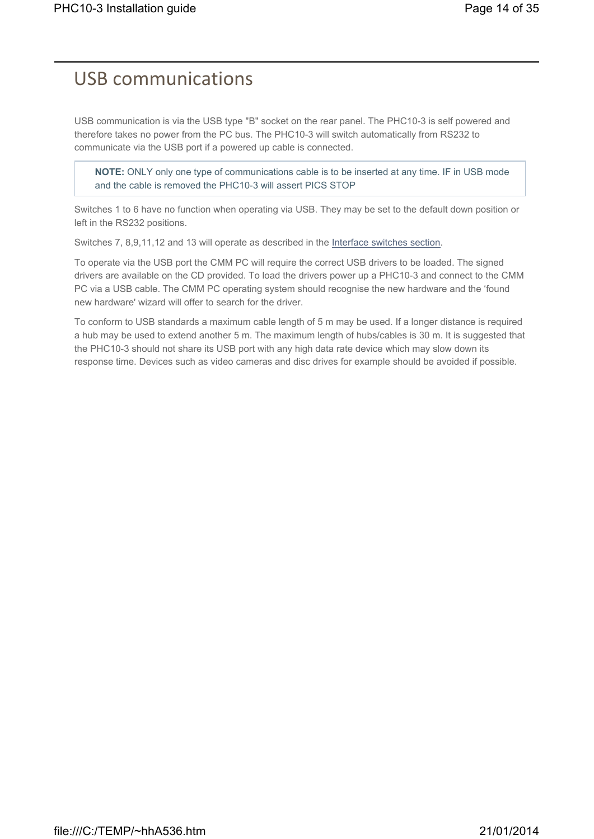## USB communications

USB communication is via the USB type "B" socket on the rear panel. The PHC10-3 is self powered and therefore takes no power from the PC bus. The PHC10-3 will switch automatically from RS232 to communicate via the USB port if a powered up cable is connected.

**NOTE:** ONLY only one type of communications cable is to be inserted at any time. IF in USB mode and the cable is removed the PHC10-3 will assert PICS STOP

Switches 1 to 6 have no function when operating via USB. They may be set to the default down position or left in the RS232 positions.

Switches 7, 8,9,11,12 and 13 will operate as described in the Interface switches section.

To operate via the USB port the CMM PC will require the correct USB drivers to be loaded. The signed drivers are available on the CD provided. To load the drivers power up a PHC10-3 and connect to the CMM PC via a USB cable. The CMM PC operating system should recognise the new hardware and the 'found new hardware' wizard will offer to search for the driver.

To conform to USB standards a maximum cable length of 5 m may be used. If a longer distance is required a hub may be used to extend another 5 m. The maximum length of hubs/cables is 30 m. It is suggested that the PHC10-3 should not share its USB port with any high data rate device which may slow down its response time. Devices such as video cameras and disc drives for example should be avoided if possible.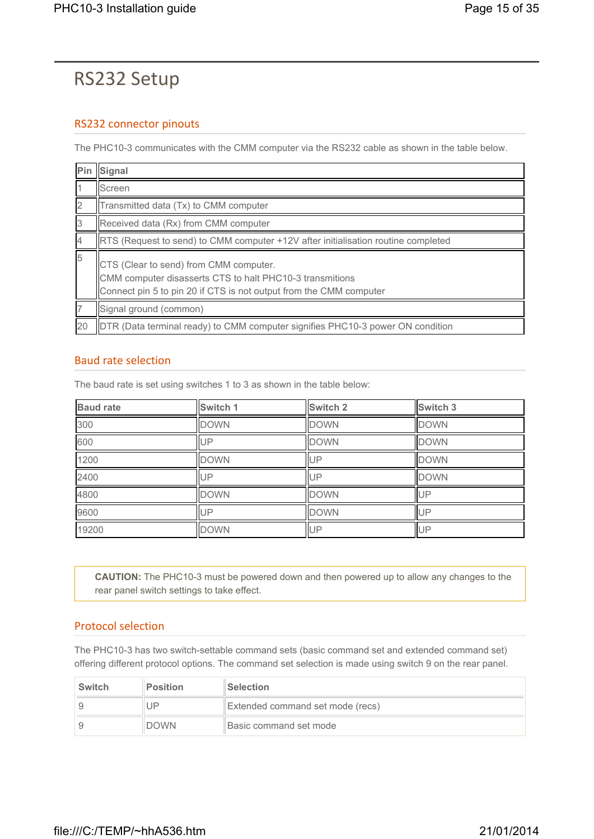## RS232 Setup

### RS232 connector pinouts

The PHC10-3 communicates with the CMM computer via the RS232 cable as shown in the table below.

|    | Pin Signal                                                                                                                                                               |
|----|--------------------------------------------------------------------------------------------------------------------------------------------------------------------------|
|    | Screen                                                                                                                                                                   |
| 2  | Transmitted data (Tx) to CMM computer                                                                                                                                    |
| IЗ | Received data (Rx) from CMM computer                                                                                                                                     |
|    | RTS (Request to send) to CMM computer +12V after initialisation routine completed                                                                                        |
| 5  | CTS (Clear to send) from CMM computer.<br>CMM computer disasserts CTS to halt PHC10-3 transmitions<br>Connect pin 5 to pin 20 if CTS is not output from the CMM computer |
|    | Signal ground (common)                                                                                                                                                   |
| 20 | DTR (Data terminal ready) to CMM computer signifies PHC10-3 power ON condition                                                                                           |

### Baud rate selection

The baud rate is set using switches 1 to 3 as shown in the table below:

| <b>Baud rate</b> | Switch 1    | Switch 2    | Switch 3    |
|------------------|-------------|-------------|-------------|
| 300              | <b>DOWN</b> | <b>DOWN</b> | <b>DOWN</b> |
| 600              | UP          | <b>DOWN</b> | <b>DOWN</b> |
| 1200             | <b>DOWN</b> | UP          | <b>DOWN</b> |
| 2400             | UP          | UP          | <b>DOWN</b> |
| 4800             | <b>DOWN</b> | <b>DOWN</b> | UP          |
| 9600             | UP          | <b>DOWN</b> | UP          |
| 19200            | <b>DOWN</b> | UP          | UP          |

**CAUTION:** The PHC10-3 must be powered down and then powered up to allow any changes to the rear panel switch settings to take effect.

### Protocol selection

The PHC10-3 has two switch-settable command sets (basic command set and extended command set) offering different protocol options. The command set selection is made using switch 9 on the rear panel.

| <b>Switch</b> | <b>Position</b> | <b>Selection</b>                 |  |
|---------------|-----------------|----------------------------------|--|
|               | UP              | Extended command set mode (recs) |  |
|               | <b>DOWN</b>     | Basic command set mode           |  |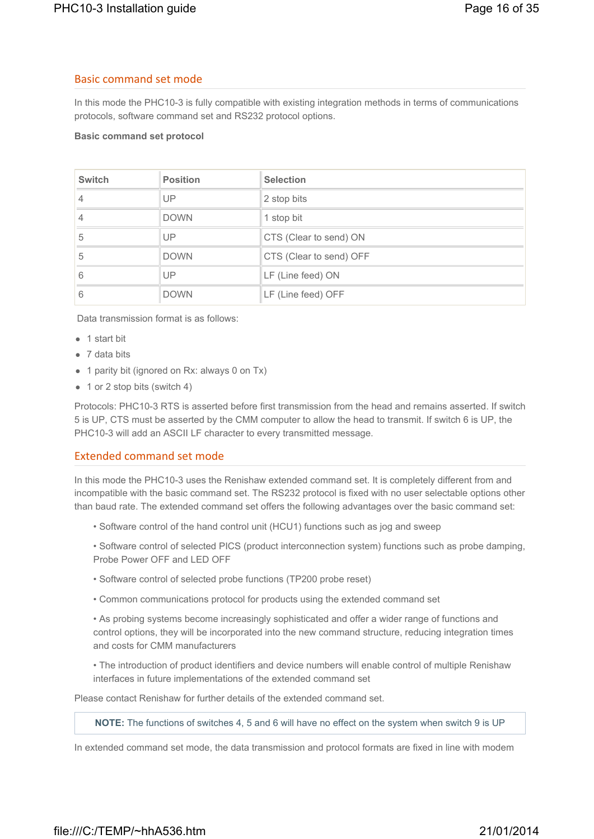#### Basic command set mode

In this mode the PHC10-3 is fully compatible with existing integration methods in terms of communications protocols, software command set and RS232 protocol options.

#### **Basic command set protocol**

| <b>Switch</b> | <b>Position</b> | <b>Selection</b>        |
|---------------|-----------------|-------------------------|
| 4             | UP              | 2 stop bits             |
| 4             | <b>DOWN</b>     | 1 stop bit              |
| 5             | UP              | CTS (Clear to send) ON  |
| 5             | <b>DOWN</b>     | CTS (Clear to send) OFF |
| 6             | UP              | LF (Line feed) ON       |
| 6             | <b>DOWN</b>     | LF (Line feed) OFF      |

Data transmission format is as follows:

- $\bullet$  1 start bit
- $\bullet$  7 data bits
- 1 parity bit (ignored on Rx: always 0 on Tx)
- $\bullet$  1 or 2 stop bits (switch 4)

Protocols: PHC10-3 RTS is asserted before first transmission from the head and remains asserted. If switch 5 is UP, CTS must be asserted by the CMM computer to allow the head to transmit. If switch 6 is UP, the PHC10-3 will add an ASCII LF character to every transmitted message.

#### Extended command set mode

In this mode the PHC10-3 uses the Renishaw extended command set. It is completely different from and incompatible with the basic command set. The RS232 protocol is fixed with no user selectable options other than baud rate. The extended command set offers the following advantages over the basic command set:

- Software control of the hand control unit (HCU1) functions such as jog and sweep
- Software control of selected PICS (product interconnection system) functions such as probe damping, Probe Power OFF and LED OFF
- Software control of selected probe functions (TP200 probe reset)
- Common communications protocol for products using the extended command set

• As probing systems become increasingly sophisticated and offer a wider range of functions and control options, they will be incorporated into the new command structure, reducing integration times and costs for CMM manufacturers

• The introduction of product identifiers and device numbers will enable control of multiple Renishaw interfaces in future implementations of the extended command set

Please contact Renishaw for further details of the extended command set.

**NOTE:** The functions of switches 4, 5 and 6 will have no effect on the system when switch 9 is UP

In extended command set mode, the data transmission and protocol formats are fixed in line with modem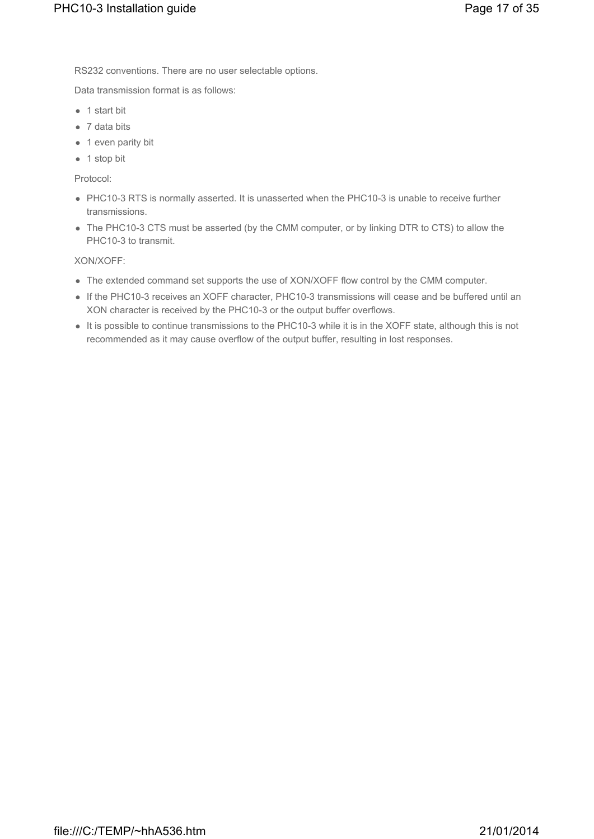RS232 conventions. There are no user selectable options.

Data transmission format is as follows:

- $\bullet$  1 start bit
- $\bullet$  7 data bits
- $\bullet$  1 even parity bit
- $\bullet$  1 stop bit

Protocol:

- PHC10-3 RTS is normally asserted. It is unasserted when the PHC10-3 is unable to receive further transmissions.
- The PHC10-3 CTS must be asserted (by the CMM computer, or by linking DTR to CTS) to allow the PHC10-3 to transmit.

XON/XOFF:

- The extended command set supports the use of XON/XOFF flow control by the CMM computer.
- If the PHC10-3 receives an XOFF character, PHC10-3 transmissions will cease and be buffered until an XON character is received by the PHC10-3 or the output buffer overflows.
- It is possible to continue transmissions to the PHC10-3 while it is in the XOFF state, although this is not recommended as it may cause overflow of the output buffer, resulting in lost responses.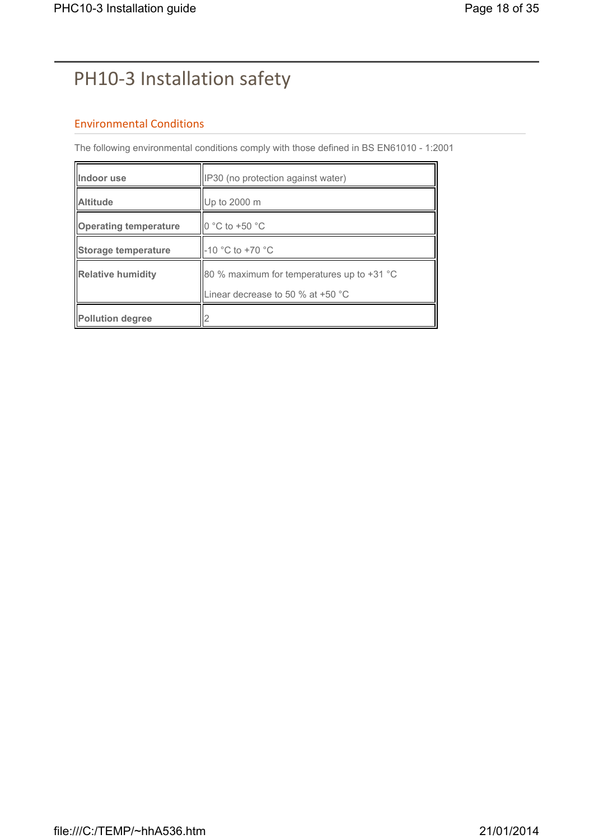# PH10-3 Installation safety

### Environmental Conditions

The following environmental conditions comply with those defined in BS EN61010 - 1:2001

| Indoor use                   | IP30 (no protection against water)                                                |
|------------------------------|-----------------------------------------------------------------------------------|
| <b>Altitude</b>              | Up to 2000 m                                                                      |
| <b>Operating temperature</b> | $\parallel$ 0 °C to +50 °C                                                        |
| Storage temperature          | -10 °C to +70 °C                                                                  |
| <b>Relative humidity</b>     | 80 % maximum for temperatures up to $+31$ °C<br>Linear decrease to 50 % at +50 °C |
| Pollution degree             |                                                                                   |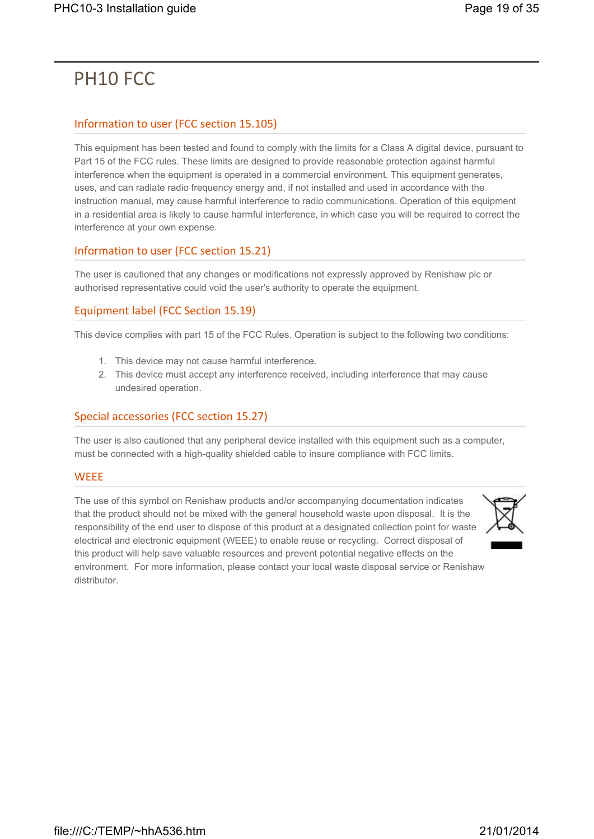## PH10 FCC

### Information to user (FCC section 15.105)

This equipment has been tested and found to comply with the limits for a Class A digital device, pursuant to Part 15 of the FCC rules. These limits are designed to provide reasonable protection against harmful interference when the equipment is operated in a commercial environment. This equipment generates, uses, and can radiate radio frequency energy and, if not installed and used in accordance with the instruction manual, may cause harmful interference to radio communications. Operation of this equipment in a residential area is likely to cause harmful interference, in which case you will be required to correct the interference at your own expense.

### Information to user (FCC section 15.21)

The user is cautioned that any changes or modifications not expressly approved by Renishaw plc or authorised representative could void the user's authority to operate the equipment.

### Equipment label (FCC Section 15.19)

This device complies with part 15 of the FCC Rules. Operation is subject to the following two conditions:

- 1. This device may not cause harmful interference.
- 2. This device must accept any interference received, including interference that may cause undesired operation.

### Special accessories (FCC section 15.27)

The user is also cautioned that any peripheral device installed with this equipment such as a computer, must be connected with a high-quality shielded cable to insure compliance with FCC limits.

#### **WEEE**

The use of this symbol on Renishaw products and/or accompanying documentation indicates that the product should not be mixed with the general household waste upon disposal. It is the responsibility of the end user to dispose of this product at a designated collection point for waste electrical and electronic equipment (WEEE) to enable reuse or recycling. Correct disposal of this product will help save valuable resources and prevent potential negative effects on the environment. For more information, please contact your local waste disposal service or Renishaw distributor.

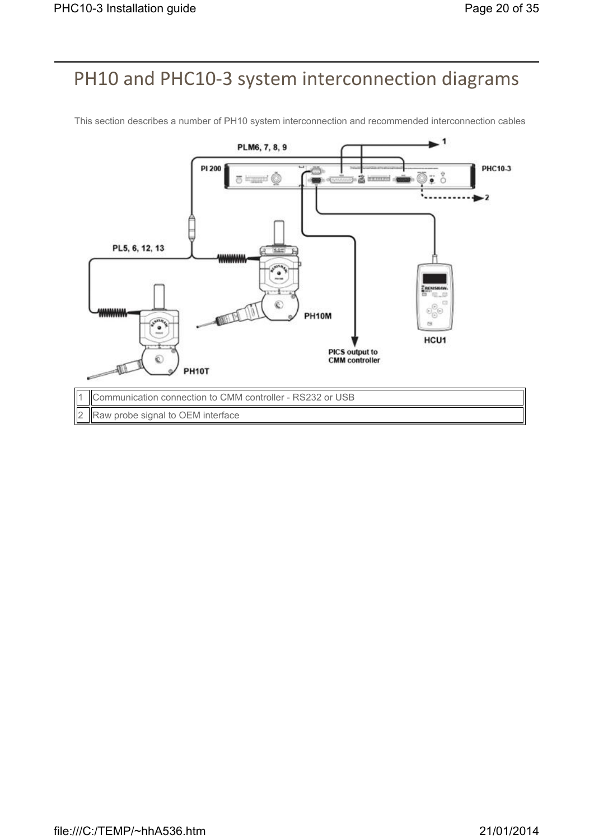## PH10 and PHC10-3 system interconnection diagrams



This section describes a number of PH10 system interconnection and recommended interconnection cables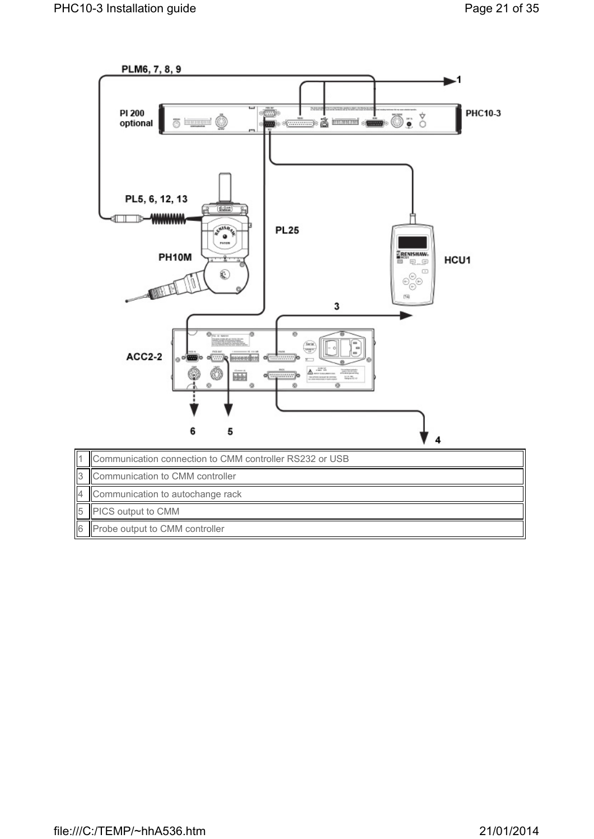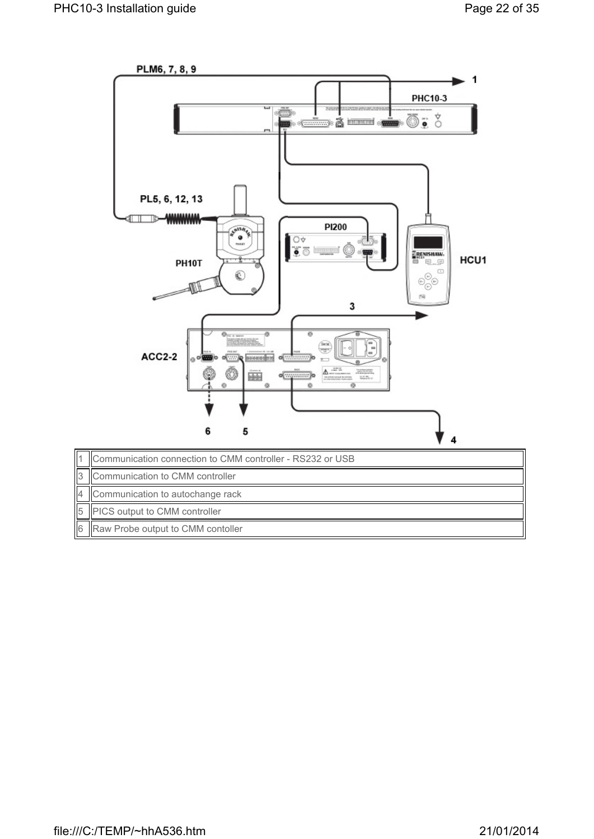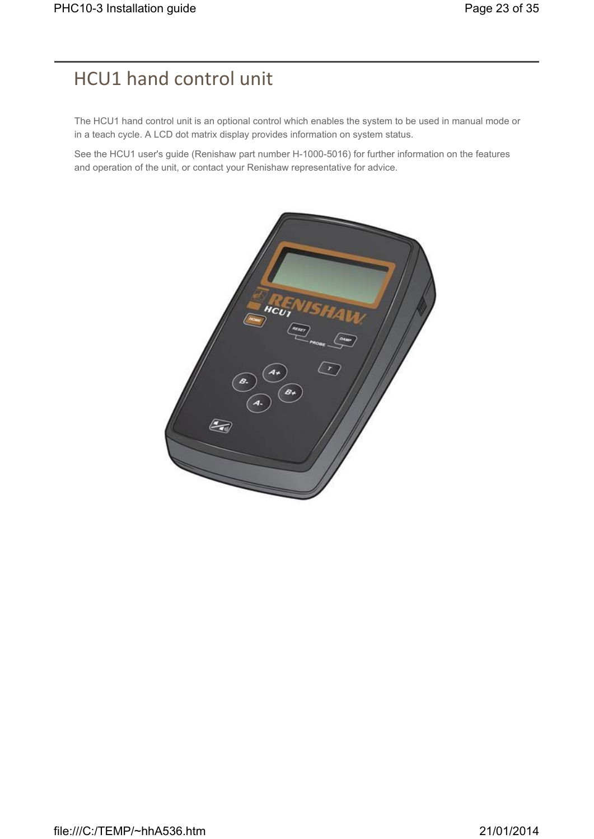## HCU1 hand control unit

The HCU1 hand control unit is an optional control which enables the system to be used in manual mode or in a teach cycle. A LCD dot matrix display provides information on system status.

See the HCU1 user's guide (Renishaw part number H-1000-5016) for further information on the features and operation of the unit, or contact your Renishaw representative for advice.

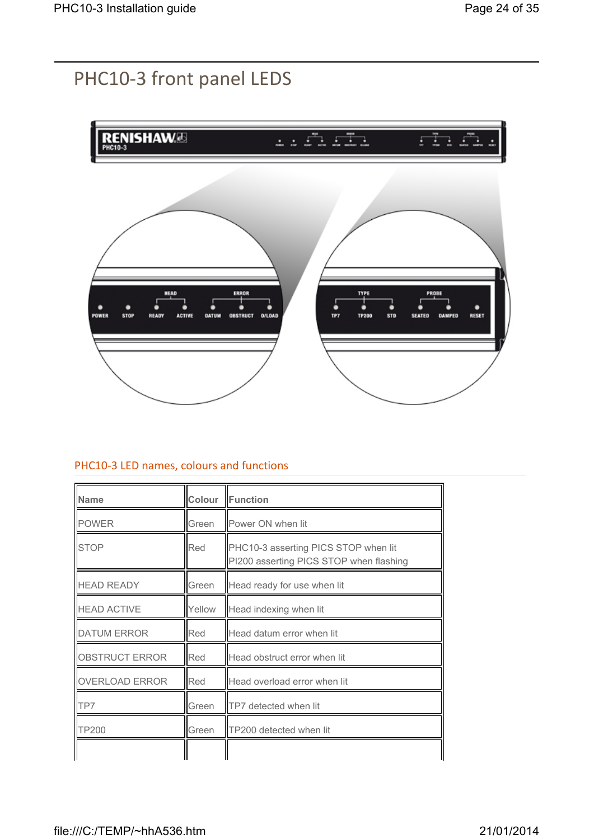## PHC10-3 front panel LEDS



#### PHC10-3 LED names, colours and functions

| <b>Name</b>           | Colour | Function                                                                        |
|-----------------------|--------|---------------------------------------------------------------------------------|
| <b>POWER</b>          | Green  | Power ON when lit                                                               |
| <b>STOP</b>           | Red    | PHC10-3 asserting PICS STOP when lit<br>PI200 asserting PICS STOP when flashing |
| <b>HEAD READY</b>     | Green  | Head ready for use when lit                                                     |
| <b>HEAD ACTIVE</b>    | Yellow | Head indexing when lit                                                          |
| <b>DATUM ERROR</b>    | Red    | Head datum error when lit                                                       |
| OBSTRUCT ERROR        | Red    | Head obstruct error when lit                                                    |
| <b>OVERLOAD ERROR</b> | Red    | Head overload error when lit                                                    |
| TP7                   | Green  | TP7 detected when lit                                                           |
| <b>TP200</b>          | Green  | TP200 detected when lit                                                         |
|                       |        |                                                                                 |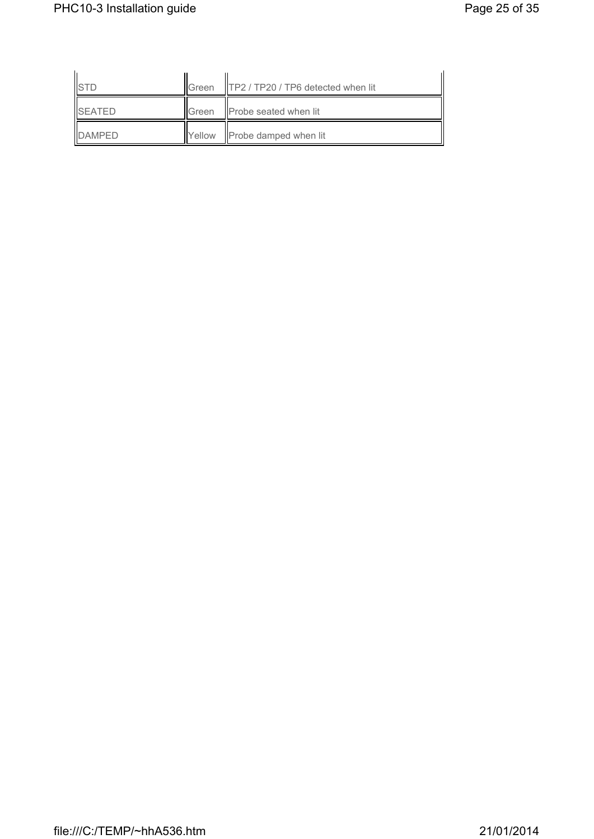|                  | IIGreen         | <b>TP2</b> / TP20 / TP6 detected when lit |  |
|------------------|-----------------|-------------------------------------------|--|
| <b>I</b> ISFATFD | <b>I</b> IGreen | Probe seated when lit                     |  |
| <b>IDAMPFD</b>   | Yellow          | Probe damped when lit                     |  |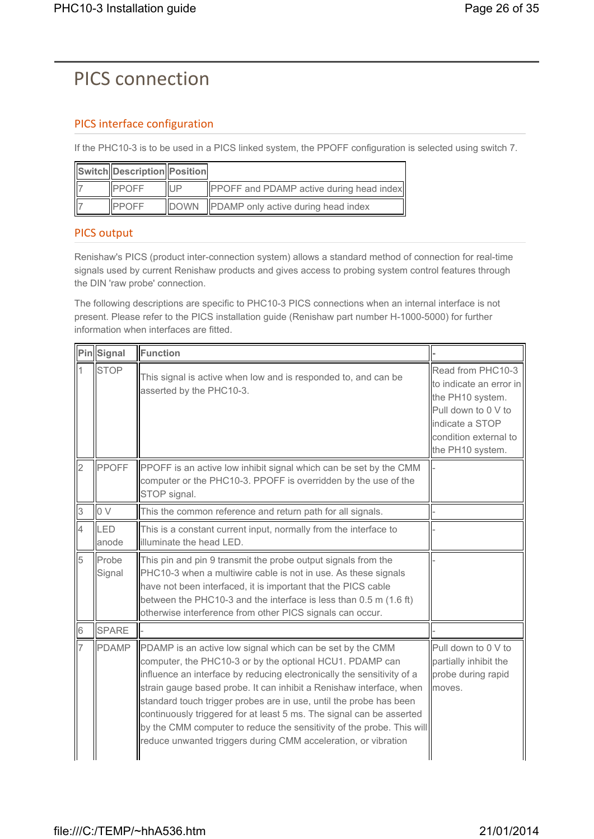## PICS connection

## PICS interface configuration

If the PHC10-3 is to be used in a PICS linked system, the PPOFF configuration is selected using switch 7.

| Switch Description Position |              |                                                 |
|-----------------------------|--------------|-------------------------------------------------|
| <b>IPPOFF</b>               | <b>IUP</b>   | <b>PPOFF</b> and PDAMP active during head index |
| <b>IPPOFF</b>               | <b>IDOWN</b> | PDAMP only active during head index             |

### PICS output

Renishaw's PICS (product inter-connection system) allows a standard method of connection for real-time signals used by current Renishaw products and gives access to probing system control features through the DIN 'raw probe' connection.

The following descriptions are specific to PHC10-3 PICS connections when an internal interface is not present. Please refer to the PICS installation guide (Renishaw part number H-1000-5000) for further information when interfaces are fitted.

|                | PinSignal       | Function                                                                                                                                                                                                                                                                                                                                                                                                                                                                                                                                                        |                                                                                                                                                         |
|----------------|-----------------|-----------------------------------------------------------------------------------------------------------------------------------------------------------------------------------------------------------------------------------------------------------------------------------------------------------------------------------------------------------------------------------------------------------------------------------------------------------------------------------------------------------------------------------------------------------------|---------------------------------------------------------------------------------------------------------------------------------------------------------|
| 1              | <b>STOP</b>     | This signal is active when low and is responded to, and can be<br>asserted by the PHC10-3.                                                                                                                                                                                                                                                                                                                                                                                                                                                                      | Read from PHC10-3<br>to indicate an error in<br>the PH10 system.<br>Pull down to 0 V to<br>indicate a STOP<br>condition external to<br>the PH10 system. |
| $\overline{2}$ | PPOFF           | PPOFF is an active low inhibit signal which can be set by the CMM<br>computer or the PHC10-3. PPOFF is overridden by the use of the<br>STOP signal.                                                                                                                                                                                                                                                                                                                                                                                                             |                                                                                                                                                         |
| 3              | 0V              | This the common reference and return path for all signals.                                                                                                                                                                                                                                                                                                                                                                                                                                                                                                      |                                                                                                                                                         |
| $\overline{4}$ | LED<br>lanode   | This is a constant current input, normally from the interface to<br>illuminate the head LED.                                                                                                                                                                                                                                                                                                                                                                                                                                                                    |                                                                                                                                                         |
| 5              | Probe<br>Signal | This pin and pin 9 transmit the probe output signals from the<br>PHC10-3 when a multiwire cable is not in use. As these signals<br>have not been interfaced, it is important that the PICS cable<br>between the PHC10-3 and the interface is less than 0.5 m (1.6 ft)<br>otherwise interference from other PICS signals can occur.                                                                                                                                                                                                                              |                                                                                                                                                         |
| $\sqrt{6}$     | <b>SPARE</b>    |                                                                                                                                                                                                                                                                                                                                                                                                                                                                                                                                                                 |                                                                                                                                                         |
| 7              | PDAMP           | PDAMP is an active low signal which can be set by the CMM<br>computer, the PHC10-3 or by the optional HCU1. PDAMP can<br>influence an interface by reducing electronically the sensitivity of a<br>strain gauge based probe. It can inhibit a Renishaw interface, when<br>standard touch trigger probes are in use, until the probe has been<br>continuously triggered for at least 5 ms. The signal can be asserted<br>by the CMM computer to reduce the sensitivity of the probe. This will<br>reduce unwanted triggers during CMM acceleration, or vibration | Pull down to 0 V to<br>partially inhibit the<br>probe during rapid<br>moves.                                                                            |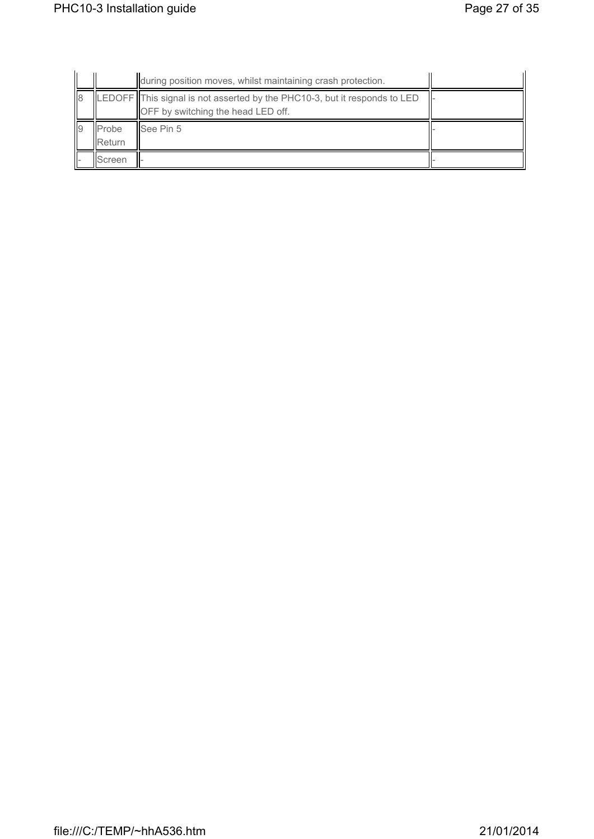|                 |                         | during position moves, whilst maintaining crash protection.                                                     |  |
|-----------------|-------------------------|-----------------------------------------------------------------------------------------------------------------|--|
| l8              |                         | LEDOFF This signal is not asserted by the PHC10-3, but it responds to LED<br>OFF by switching the head LED off. |  |
| $\overline{19}$ | Probe<br><b>IReturn</b> | <b>See Pin 5</b>                                                                                                |  |
|                 | Screen                  |                                                                                                                 |  |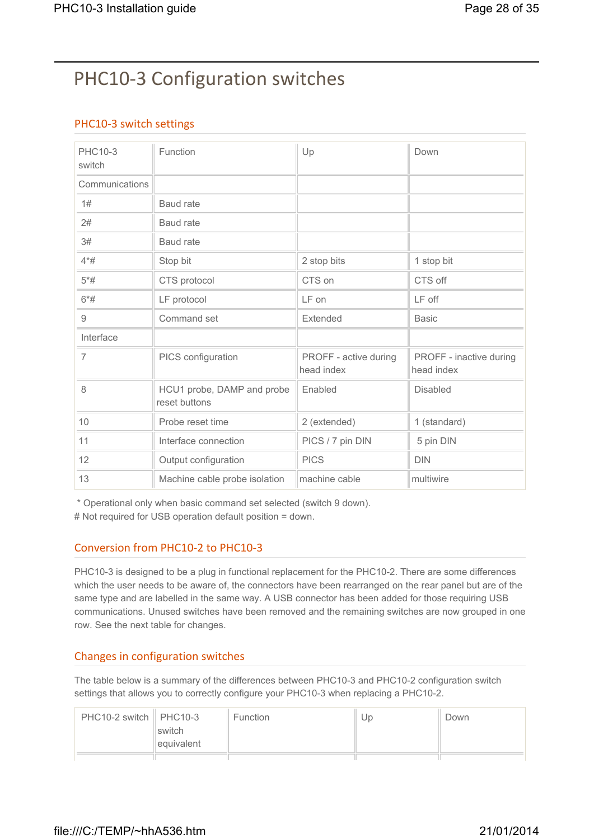# PHC10-3 Configuration switches

## PHC10-3 switch settings

| PHC10-3<br>switch | Function                                    | Up                                  | Down                                  |
|-------------------|---------------------------------------------|-------------------------------------|---------------------------------------|
| Communications    |                                             |                                     |                                       |
| 1#                | Baud rate                                   |                                     |                                       |
| 2#                | <b>Baud</b> rate                            |                                     |                                       |
| 3#                | Baud rate                                   |                                     |                                       |
| $4*#$             | Stop bit                                    | 2 stop bits                         | 1 stop bit                            |
| $5*#$             | CTS protocol                                | CTS on                              | CTS off                               |
| $6*#$             | LF protocol                                 | LF on                               | LF off                                |
| 9                 | Command set                                 | Extended                            | <b>Basic</b>                          |
| Interface         |                                             |                                     |                                       |
| $\overline{7}$    | PICS configuration                          | PROFF - active during<br>head index | PROFF - inactive during<br>head index |
| 8                 | HCU1 probe, DAMP and probe<br>reset buttons | Enabled                             | <b>Disabled</b>                       |
| 10                | Probe reset time                            | 2 (extended)                        | 1 (standard)                          |
| 11                | Interface connection                        | PICS / 7 pin DIN                    | 5 pin DIN                             |
| 12                | Output configuration                        | <b>PICS</b>                         | <b>DIN</b>                            |
| 13                | Machine cable probe isolation               | machine cable                       | multiwire                             |

\* Operational only when basic command set selected (switch 9 down).

# Not required for USB operation default position = down.

#### Conversion from PHC10-2 to PHC10-3

PHC10-3 is designed to be a plug in functional replacement for the PHC10-2. There are some differences which the user needs to be aware of, the connectors have been rearranged on the rear panel but are of the same type and are labelled in the same way. A USB connector has been added for those requiring USB communications. Unused switches have been removed and the remaining switches are now grouped in one row. See the next table for changes.

#### Changes in configuration switches

The table below is a summary of the differences between PHC10-3 and PHC10-2 configuration switch settings that allows you to correctly configure your PHC10-3 when replacing a PHC10-2.

| $PHC10-2$ switch $\parallel$ PHC10-3 | switch<br>equivalent | <b>Function</b> | Up | Down |
|--------------------------------------|----------------------|-----------------|----|------|
|                                      |                      |                 |    |      |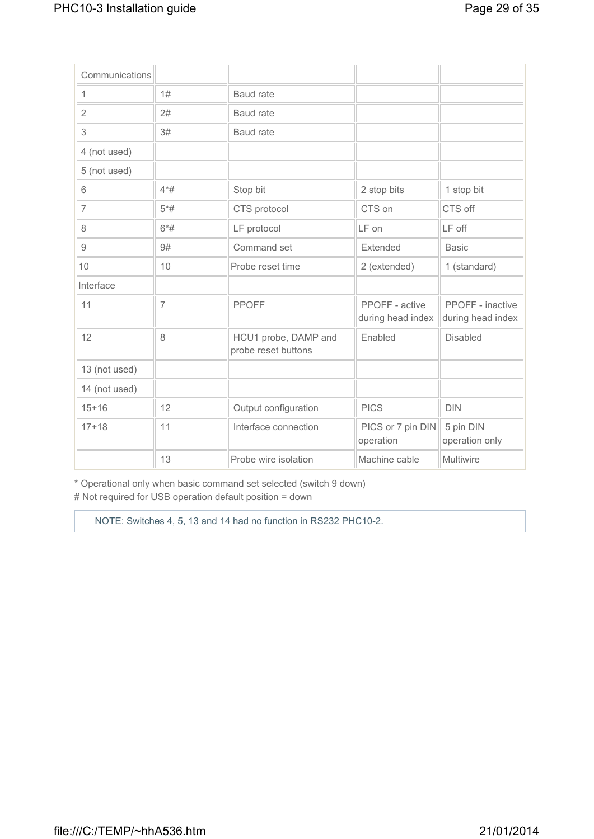| Communications |                |                                             |                                     |                                       |
|----------------|----------------|---------------------------------------------|-------------------------------------|---------------------------------------|
| 1              | 1#             | <b>Baud</b> rate                            |                                     |                                       |
| $\overline{2}$ | 2#             | Baud rate                                   |                                     |                                       |
| 3              | 3#             | Baud rate                                   |                                     |                                       |
| 4 (not used)   |                |                                             |                                     |                                       |
| 5 (not used)   |                |                                             |                                     |                                       |
| 6              | $4*#$          | Stop bit                                    | 2 stop bits                         | 1 stop bit                            |
| 7              | $5*#$          | CTS protocol                                | CTS on                              | CTS off                               |
| 8              | $6*#$          | LF protocol                                 | LF on                               | LF off                                |
| 9              | 9#             | Command set                                 | Extended                            | <b>Basic</b>                          |
| 10             | 10             | Probe reset time                            | 2 (extended)                        | 1 (standard)                          |
| Interface      |                |                                             |                                     |                                       |
| 11             | $\overline{7}$ | <b>PPOFF</b>                                | PPOFF - active<br>during head index | PPOFF - inactive<br>during head index |
| 12             | 8              | HCU1 probe, DAMP and<br>probe reset buttons | Enabled                             | <b>Disabled</b>                       |
| 13 (not used)  |                |                                             |                                     |                                       |
| 14 (not used)  |                |                                             |                                     |                                       |
| $15 + 16$      | 12             | Output configuration                        | <b>PICS</b>                         | <b>DIN</b>                            |
| $17 + 18$      | 11             | Interface connection                        | PICS or 7 pin DIN<br>operation      | 5 pin DIN<br>operation only           |
|                | 13             | Probe wire isolation                        | Machine cable                       | Multiwire                             |

\* Operational only when basic command set selected (switch 9 down) # Not required for USB operation default position = down

NOTE: Switches 4, 5, 13 and 14 had no function in RS232 PHC10-2.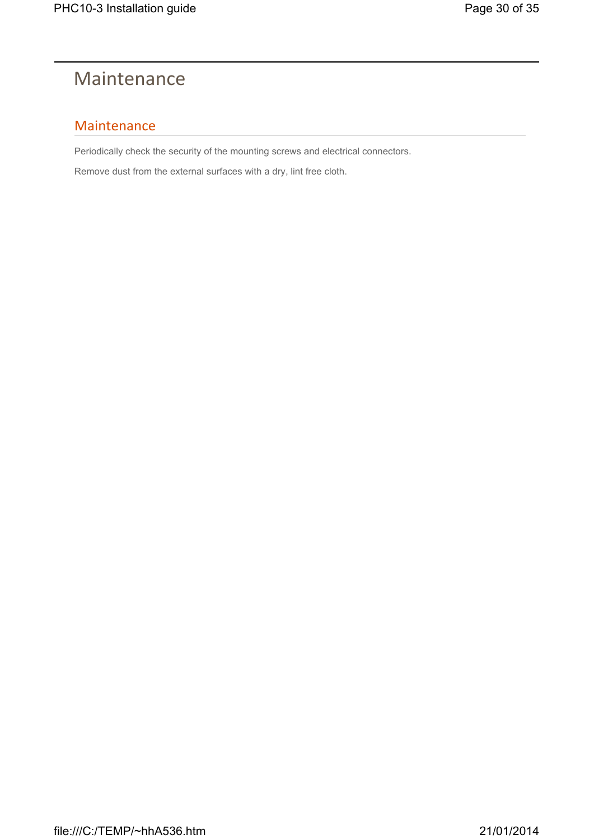## Maintenance

## Maintenance

Periodically check the security of the mounting screws and electrical connectors.

Remove dust from the external surfaces with a dry, lint free cloth.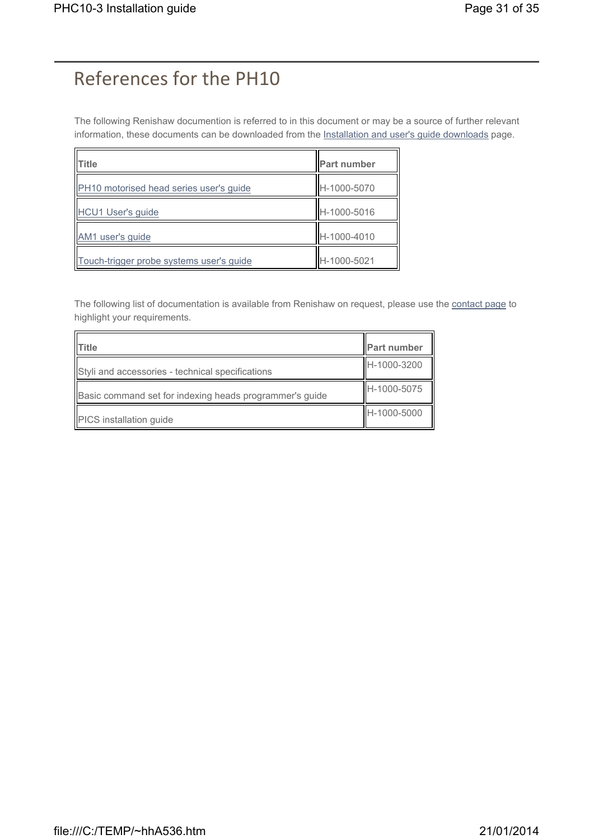## References for the PH10

The following Renishaw documention is referred to in this document or may be a source of further relevant information, these documents can be downloaded from the Installation and user's guide downloads page.

| <b>ITitle</b>                            | <b>Part number</b> |
|------------------------------------------|--------------------|
| PH10 motorised head series user's guide  | H-1000-5070        |
| HCU1 User's guide                        | H-1000-5016        |
| AM1 user's guide                         | H-1000-4010        |
| Touch-trigger probe systems user's guide | H-1000-5021        |

The following list of documentation is available from Renishaw on request, please use the contact page to highlight your requirements.

| Title                                                   | <b>Part number</b> |
|---------------------------------------------------------|--------------------|
| Styli and accessories - technical specifications        | H-1000-3200        |
| Basic command set for indexing heads programmer's guide | H-1000-5075        |
| PICS installation guide                                 | H-1000-5000        |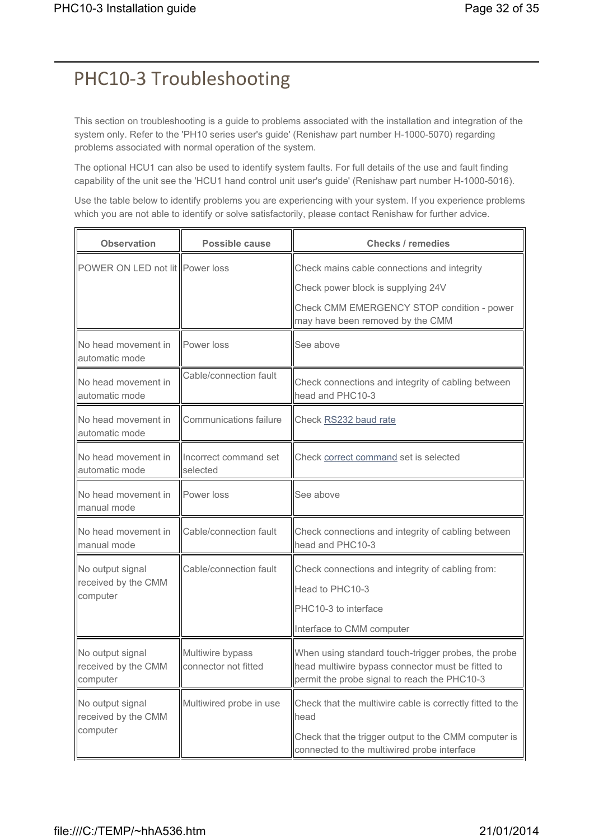## PHC10-3 Troubleshooting

This section on troubleshooting is a guide to problems associated with the installation and integration of the system only. Refer to the 'PH10 series user's guide' (Renishaw part number H-1000-5070) regarding problems associated with normal operation of the system.

The optional HCU1 can also be used to identify system faults. For full details of the use and fault finding capability of the unit see the 'HCU1 hand control unit user's guide' (Renishaw part number H-1000-5016).

Use the table below to identify problems you are experiencing with your system. If you experience problems which you are not able to identify or solve satisfactorily, please contact Renishaw for further advice.

| <b>Observation</b>                                  | Possible cause                           | <b>Checks / remedies</b>                                                                                                                                                 |
|-----------------------------------------------------|------------------------------------------|--------------------------------------------------------------------------------------------------------------------------------------------------------------------------|
| POWER ON LED not lit Power loss                     |                                          | Check mains cable connections and integrity<br>Check power block is supplying 24V<br>Check CMM EMERGENCY STOP condition - power<br>may have been removed by the CMM      |
| No head movement in<br>automatic mode               | Power loss                               | See above                                                                                                                                                                |
| No head movement in<br>automatic mode               | Cable/connection fault                   | Check connections and integrity of cabling between<br>head and PHC10-3                                                                                                   |
| No head movement in<br>automatic mode               | Communications failure                   | Check RS232 baud rate                                                                                                                                                    |
| No head movement in<br>automatic mode               | Incorrect command set<br>selected        | Check correct command set is selected                                                                                                                                    |
| No head movement in<br>manual mode                  | Power loss                               | See above                                                                                                                                                                |
| No head movement in<br>manual mode                  | Cable/connection fault                   | Check connections and integrity of cabling between<br>head and PHC10-3                                                                                                   |
| No output signal<br>received by the CMM<br>computer | Cable/connection fault                   | Check connections and integrity of cabling from:<br>Head to PHC10-3<br>PHC10-3 to interface<br>Interface to CMM computer                                                 |
| No output signal<br>received by the CMM<br>computer | Multiwire bypass<br>connector not fitted | When using standard touch-trigger probes, the probe<br>head multiwire bypass connector must be fitted to<br>permit the probe signal to reach the PHC10-3                 |
| No output signal<br>received by the CMM<br>computer | Multiwired probe in use                  | Check that the multiwire cable is correctly fitted to the<br>head<br>Check that the trigger output to the CMM computer is<br>connected to the multiwired probe interface |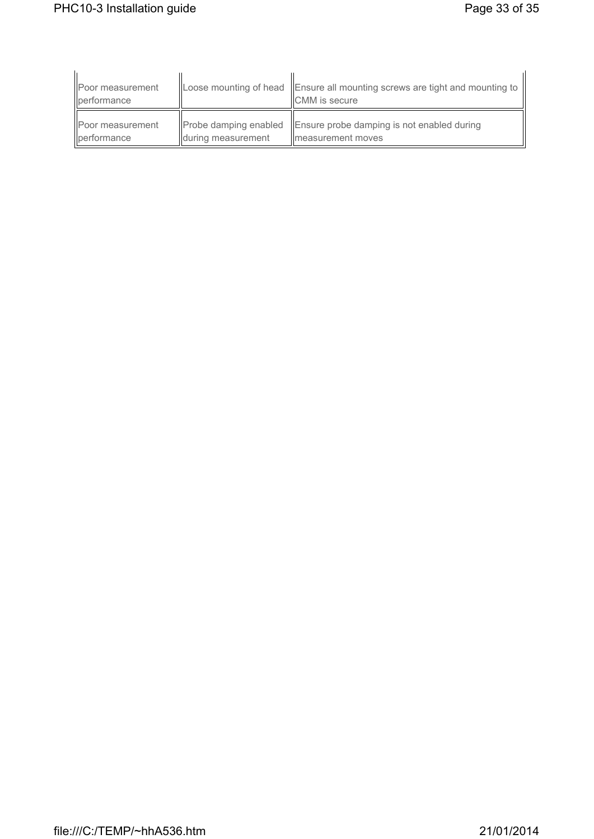| Poor measurement<br><b>I</b> berformance |                       | Loose mounting of head Ensure all mounting screws are tight and mounting to<br><b>CMM</b> is secure |
|------------------------------------------|-----------------------|-----------------------------------------------------------------------------------------------------|
| Poor measurement                         | Probe damping enabled | Ensure probe damping is not enabled during                                                          |
| performance                              | during measurement    | Imeasurement moves                                                                                  |